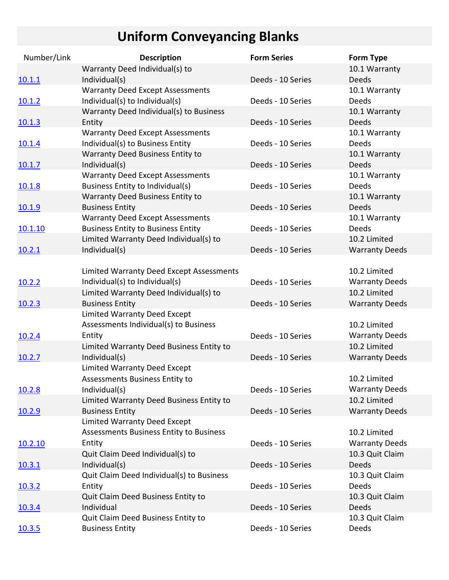## **Uniform Conveyancing Blanks**

| Number/Link   | <b>Description</b>                                                                  | <b>Form Series</b> | Form Type              |
|---------------|-------------------------------------------------------------------------------------|--------------------|------------------------|
|               | Warranty Deed Individual(s) to                                                      |                    | 10.1 Warranty          |
| 10.1.1        | Individual(s)                                                                       | Deeds - 10 Series  | <b>Deeds</b>           |
|               | <b>Warranty Deed Except Assessments</b>                                             |                    | 10.1 Warranty          |
| 10.1.2        | Individual(s) to Individual(s)                                                      | Deeds - 10 Series  | <b>Deeds</b>           |
|               | Warranty Deed Individual(s) to Business                                             |                    | 10.1 Warranty          |
| 10.1.3        | Entity                                                                              | Deeds - 10 Series  | <b>Deeds</b>           |
|               | <b>Warranty Deed Except Assessments</b>                                             |                    | 10.1 Warranty          |
| 10.1.4        | Individual(s) to Business Entity                                                    | Deeds - 10 Series  | Deeds                  |
|               | Warranty Deed Business Entity to                                                    |                    | 10.1 Warranty          |
| 10.1.7        | Individual(s)                                                                       | Deeds - 10 Series  | <b>Deeds</b>           |
|               | <b>Warranty Deed Except Assessments</b>                                             |                    | 10.1 Warranty          |
| 10.1.8        | Business Entity to Individual(s)                                                    | Deeds - 10 Series  | Deeds                  |
|               | Warranty Deed Business Entity to                                                    |                    | 10.1 Warranty          |
| 10.1.9        | <b>Business Entity</b>                                                              | Deeds - 10 Series  | <b>Deeds</b>           |
|               | <b>Warranty Deed Except Assessments</b>                                             | Deeds - 10 Series  | 10.1 Warranty<br>Deeds |
| 10.1.10       | <b>Business Entity to Business Entity</b><br>Limited Warranty Deed Individual(s) to |                    | 10.2 Limited           |
|               | Individual(s)                                                                       | Deeds - 10 Series  | <b>Warranty Deeds</b>  |
| 10.2.1        |                                                                                     |                    |                        |
|               | <b>Limited Warranty Deed Except Assessments</b>                                     |                    | 10.2 Limited           |
| 10.2.2        | Individual(s) to Individual(s)                                                      | Deeds - 10 Series  | <b>Warranty Deeds</b>  |
|               | Limited Warranty Deed Individual(s) to                                              |                    | 10.2 Limited           |
| 10.2.3        | <b>Business Entity</b>                                                              | Deeds - 10 Series  | <b>Warranty Deeds</b>  |
|               | Limited Warranty Deed Except                                                        |                    |                        |
|               | Assessments Individual(s) to Business                                               |                    | 10.2 Limited           |
| 10.2.4        | Entity                                                                              | Deeds - 10 Series  | <b>Warranty Deeds</b>  |
|               | Limited Warranty Deed Business Entity to                                            |                    | 10.2 Limited           |
| 10.2.7        | Individual(s)                                                                       | Deeds - 10 Series  | <b>Warranty Deeds</b>  |
|               | Limited Warranty Deed Except                                                        |                    |                        |
|               | Assessments Business Entity to                                                      |                    | 10.2 Limited           |
| 10.2.8        | Individual(s)                                                                       | Deeds - 10 Series  | <b>Warranty Deeds</b>  |
|               | Limited Warranty Deed Business Entity to                                            |                    | 10.2 Limited           |
| 10.2.9        | <b>Business Entity</b>                                                              | Deeds - 10 Series  | <b>Warranty Deeds</b>  |
|               | <b>Limited Warranty Deed Except</b>                                                 |                    |                        |
|               | <b>Assessments Business Entity to Business</b>                                      |                    | 10.2 Limited           |
| 10.2.10       | Entity                                                                              | Deeds - 10 Series  | <b>Warranty Deeds</b>  |
|               | Quit Claim Deed Individual(s) to                                                    |                    | 10.3 Quit Claim        |
| 10.3.1        | Individual(s)                                                                       | Deeds - 10 Series  | <b>Deeds</b>           |
|               | Quit Claim Deed Individual(s) to Business                                           |                    | 10.3 Quit Claim        |
| <u>10.3.2</u> | Entity                                                                              | Deeds - 10 Series  | Deeds                  |
|               | Quit Claim Deed Business Entity to                                                  |                    | 10.3 Quit Claim        |
| 10.3.4        | Individual                                                                          | Deeds - 10 Series  | <b>Deeds</b>           |
|               | Quit Claim Deed Business Entity to                                                  |                    | 10.3 Quit Claim        |
| <u>10.3.5</u> | <b>Business Entity</b>                                                              | Deeds - 10 Series  | Deeds                  |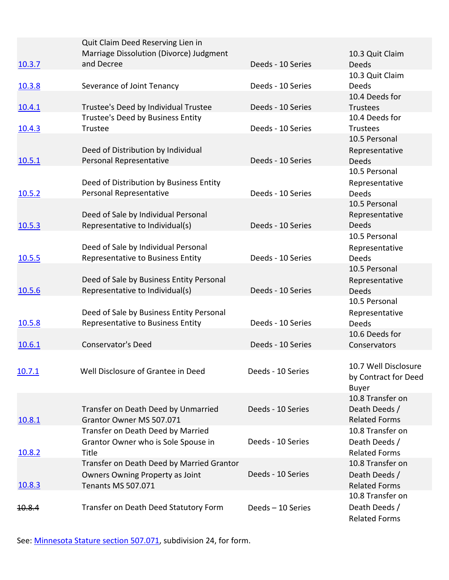|                   | Quit Claim Deed Reserving Lien in                                   |                   |                                       |
|-------------------|---------------------------------------------------------------------|-------------------|---------------------------------------|
| 10.3.7            | Marriage Dissolution (Divorce) Judgment<br>and Decree               | Deeds - 10 Series | 10.3 Quit Claim<br>Deeds              |
|                   |                                                                     |                   | 10.3 Quit Claim                       |
| 10.3.8            | Severance of Joint Tenancy                                          | Deeds - 10 Series | <b>Deeds</b>                          |
|                   |                                                                     |                   | 10.4 Deeds for                        |
| 10.4.1            | Trustee's Deed by Individual Trustee                                | Deeds - 10 Series | Trustees                              |
|                   | Trustee's Deed by Business Entity<br>Trustee                        | Deeds - 10 Series | 10.4 Deeds for<br><b>Trustees</b>     |
| 10.4.3            |                                                                     |                   | 10.5 Personal                         |
|                   | Deed of Distribution by Individual                                  |                   | Representative                        |
| 10.5.1            | Personal Representative                                             | Deeds - 10 Series | Deeds                                 |
|                   |                                                                     |                   | 10.5 Personal                         |
|                   | Deed of Distribution by Business Entity                             |                   | Representative                        |
| 10.5.2            | Personal Representative                                             | Deeds - 10 Series | <b>Deeds</b><br>10.5 Personal         |
|                   | Deed of Sale by Individual Personal                                 |                   | Representative                        |
| 10.5.3            | Representative to Individual(s)                                     | Deeds - 10 Series | <b>Deeds</b>                          |
|                   |                                                                     |                   | 10.5 Personal                         |
|                   | Deed of Sale by Individual Personal                                 |                   | Representative                        |
| 10.5.5            | Representative to Business Entity                                   | Deeds - 10 Series | Deeds<br>10.5 Personal                |
|                   | Deed of Sale by Business Entity Personal                            |                   | Representative                        |
| 10.5.6            | Representative to Individual(s)                                     | Deeds - 10 Series | Deeds                                 |
|                   |                                                                     |                   | 10.5 Personal                         |
|                   | Deed of Sale by Business Entity Personal                            |                   | Representative                        |
| 10.5.8            | Representative to Business Entity                                   | Deeds - 10 Series | <b>Deeds</b>                          |
|                   | Conservator's Deed                                                  | Deeds - 10 Series | 10.6 Deeds for<br>Conservators        |
| 10.6.1            |                                                                     |                   |                                       |
|                   |                                                                     |                   | 10.7 Well Disclosure                  |
| <u>10.7.1</u>     | Well Disclosure of Grantee in Deed                                  | Deeds - 10 Series | by Contract for Deed                  |
|                   |                                                                     |                   | <b>Buyer</b>                          |
|                   |                                                                     |                   | 10.8 Transfer on                      |
| 10.8.1            | Transfer on Death Deed by Unmarried<br>Grantor Owner MS 507.071     | Deeds - 10 Series | Death Deeds /<br><b>Related Forms</b> |
|                   | Transfer on Death Deed by Married                                   |                   | 10.8 Transfer on                      |
|                   | Grantor Owner who is Sole Spouse in                                 | Deeds - 10 Series | Death Deeds /                         |
| 10.8.2            | Title                                                               |                   | <b>Related Forms</b>                  |
|                   | Transfer on Death Deed by Married Grantor                           |                   | 10.8 Transfer on                      |
|                   | <b>Owners Owning Property as Joint</b><br><b>Tenants MS 507.071</b> | Deeds - 10 Series | Death Deeds /<br><b>Related Forms</b> |
| 10.8.3            |                                                                     |                   | 10.8 Transfer on                      |
| <del>10.8.4</del> | Transfer on Death Deed Statutory Form                               | Deeds-10 Series   | Death Deeds /                         |
|                   |                                                                     |                   | <b>Related Forms</b>                  |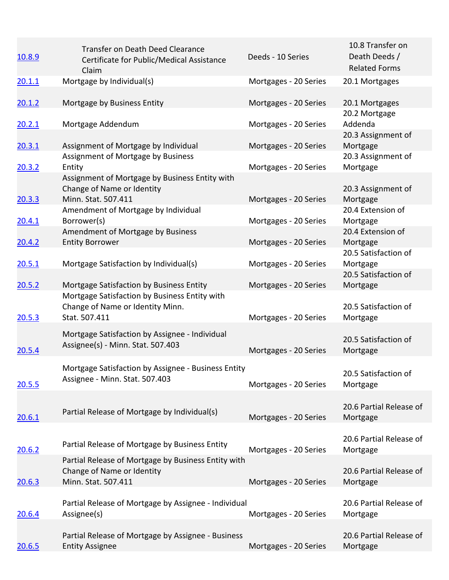| 10.8.9        | Transfer on Death Deed Clearance<br>Certificate for Public/Medical Assistance<br>Claim                   | Deeds - 10 Series     | 10.8 Transfer on<br>Death Deeds /<br><b>Related Forms</b> |
|---------------|----------------------------------------------------------------------------------------------------------|-----------------------|-----------------------------------------------------------|
| 20.1.1        | Mortgage by Individual(s)                                                                                | Mortgages - 20 Series | 20.1 Mortgages                                            |
| 20.1.2        | Mortgage by Business Entity                                                                              | Mortgages - 20 Series | 20.1 Mortgages                                            |
| 20.2.1        | Mortgage Addendum                                                                                        | Mortgages - 20 Series | 20.2 Mortgage<br>Addenda                                  |
| 20.3.1        | Assignment of Mortgage by Individual                                                                     | Mortgages - 20 Series | 20.3 Assignment of<br>Mortgage                            |
| 20.3.2        | Assignment of Mortgage by Business<br>Entity                                                             | Mortgages - 20 Series | 20.3 Assignment of<br>Mortgage                            |
|               | Assignment of Mortgage by Business Entity with<br>Change of Name or Identity<br>Minn. Stat. 507.411      |                       | 20.3 Assignment of                                        |
| 20.3.3        | Amendment of Mortgage by Individual<br>Borrower(s)                                                       | Mortgages - 20 Series | Mortgage<br>20.4 Extension of                             |
| 20.4.1        | Amendment of Mortgage by Business                                                                        | Mortgages - 20 Series | Mortgage<br>20.4 Extension of                             |
| 20.4.2        | <b>Entity Borrower</b>                                                                                   | Mortgages - 20 Series | Mortgage<br>20.5 Satisfaction of                          |
| 20.5.1        | Mortgage Satisfaction by Individual(s)                                                                   | Mortgages - 20 Series | Mortgage<br>20.5 Satisfaction of                          |
| 20.5.2        | Mortgage Satisfaction by Business Entity                                                                 | Mortgages - 20 Series | Mortgage                                                  |
| 20.5.3        | Mortgage Satisfaction by Business Entity with<br>Change of Name or Identity Minn.<br>Stat. 507.411       | Mortgages - 20 Series | 20.5 Satisfaction of<br>Mortgage                          |
| 20.5.4        | Mortgage Satisfaction by Assignee - Individual<br>Assignee(s) - Minn. Stat. 507.403                      | Mortgages - 20 Series | 20.5 Satisfaction of<br>Mortgage                          |
| 20.5.5        | Mortgage Satisfaction by Assignee - Business Entity<br>Assignee - Minn. Stat. 507.403                    | Mortgages - 20 Series | 20.5 Satisfaction of<br>Mortgage                          |
| 20.6.1        | Partial Release of Mortgage by Individual(s)                                                             | Mortgages - 20 Series | 20.6 Partial Release of<br>Mortgage                       |
| 20.6.2        | Partial Release of Mortgage by Business Entity                                                           | Mortgages - 20 Series | 20.6 Partial Release of<br>Mortgage                       |
| 20.6.3        | Partial Release of Mortgage by Business Entity with<br>Change of Name or Identity<br>Minn. Stat. 507.411 | Mortgages - 20 Series | 20.6 Partial Release of<br>Mortgage                       |
| 20.6.4        | Partial Release of Mortgage by Assignee - Individual<br>Assignee(s)                                      | Mortgages - 20 Series | 20.6 Partial Release of<br>Mortgage                       |
| <u>20.6.5</u> | Partial Release of Mortgage by Assignee - Business<br><b>Entity Assignee</b>                             | Mortgages - 20 Series | 20.6 Partial Release of<br>Mortgage                       |
|               |                                                                                                          |                       |                                                           |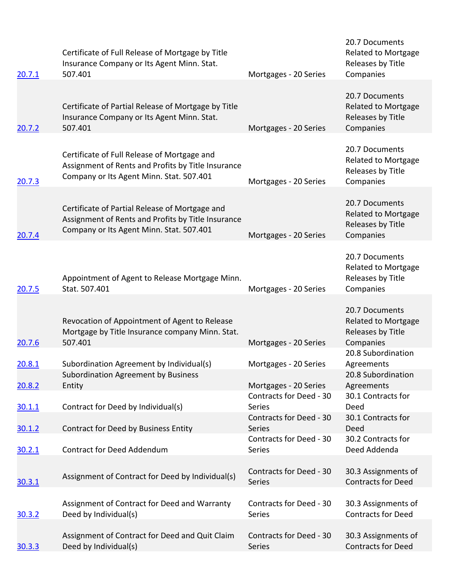| 20.7.1        | Certificate of Full Release of Mortgage by Title<br>Insurance Company or Its Agent Minn. Stat.<br>507.401                                        | Mortgages - 20 Series                    | 20.7 Documents<br><b>Related to Mortgage</b><br>Releases by Title<br>Companies |
|---------------|--------------------------------------------------------------------------------------------------------------------------------------------------|------------------------------------------|--------------------------------------------------------------------------------|
|               |                                                                                                                                                  |                                          | 20.7 Documents                                                                 |
| 20.7.2        | Certificate of Partial Release of Mortgage by Title<br>Insurance Company or Its Agent Minn. Stat.<br>507.401                                     | Mortgages - 20 Series                    | <b>Related to Mortgage</b><br>Releases by Title<br>Companies                   |
|               |                                                                                                                                                  |                                          |                                                                                |
| 20.7.3        | Certificate of Full Release of Mortgage and<br>Assignment of Rents and Profits by Title Insurance<br>Company or Its Agent Minn. Stat. 507.401    | Mortgages - 20 Series                    | 20.7 Documents<br><b>Related to Mortgage</b><br>Releases by Title<br>Companies |
|               |                                                                                                                                                  |                                          |                                                                                |
| 20.7.4        | Certificate of Partial Release of Mortgage and<br>Assignment of Rents and Profits by Title Insurance<br>Company or Its Agent Minn. Stat. 507.401 | Mortgages - 20 Series                    | 20.7 Documents<br><b>Related to Mortgage</b><br>Releases by Title<br>Companies |
|               |                                                                                                                                                  |                                          |                                                                                |
| 20.7.5        | Appointment of Agent to Release Mortgage Minn.<br>Stat. 507.401                                                                                  | Mortgages - 20 Series                    | 20.7 Documents<br><b>Related to Mortgage</b><br>Releases by Title<br>Companies |
|               |                                                                                                                                                  |                                          |                                                                                |
| 20.7.6        | Revocation of Appointment of Agent to Release<br>Mortgage by Title Insurance company Minn. Stat.<br>507.401                                      | Mortgages - 20 Series                    | 20.7 Documents<br><b>Related to Mortgage</b><br>Releases by Title<br>Companies |
|               |                                                                                                                                                  |                                          | 20.8 Subordination                                                             |
| 20.8.1        | Subordination Agreement by Individual(s)                                                                                                         | Mortgages - 20 Series                    | Agreements                                                                     |
| 20.8.2        | <b>Subordination Agreement by Business</b><br>Entity                                                                                             | Mortgages - 20 Series                    | 20.8 Subordination<br>Agreements                                               |
| <u>30.1.1</u> | Contract for Deed by Individual(s)                                                                                                               | Contracts for Deed - 30<br><b>Series</b> | 30.1 Contracts for<br>Deed                                                     |
| 30.1.2        | Contract for Deed by Business Entity                                                                                                             | Contracts for Deed - 30<br>Series        | 30.1 Contracts for<br>Deed                                                     |
| 30.2.1        | <b>Contract for Deed Addendum</b>                                                                                                                | Contracts for Deed - 30<br>Series        | 30.2 Contracts for<br>Deed Addenda                                             |
|               |                                                                                                                                                  |                                          |                                                                                |
| 30.3.1        | Assignment of Contract for Deed by Individual(s)                                                                                                 | Contracts for Deed - 30<br>Series        | 30.3 Assignments of<br><b>Contracts for Deed</b>                               |
| 30.3.2        | Assignment of Contract for Deed and Warranty<br>Deed by Individual(s)                                                                            | Contracts for Deed - 30<br>Series        | 30.3 Assignments of<br><b>Contracts for Deed</b>                               |
|               |                                                                                                                                                  |                                          |                                                                                |
| 30.3.3        | Assignment of Contract for Deed and Quit Claim<br>Deed by Individual(s)                                                                          | Contracts for Deed - 30<br>Series        | 30.3 Assignments of<br><b>Contracts for Deed</b>                               |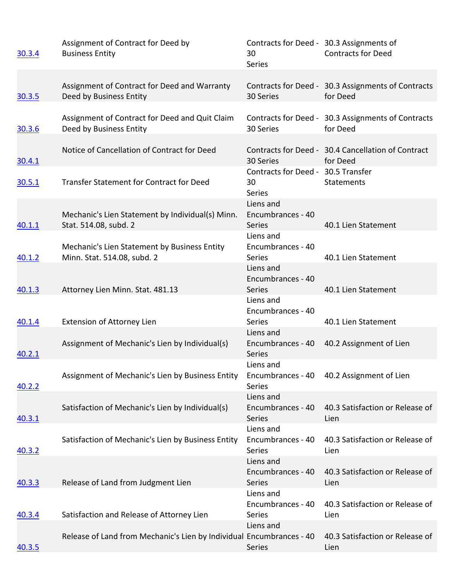| 30.3.4        | Assignment of Contract for Deed by<br><b>Business Entity</b>                                 | 30<br><b>Series</b>                                                                         | Contracts for Deed - 30.3 Assignments of<br><b>Contracts for Deed</b> |
|---------------|----------------------------------------------------------------------------------------------|---------------------------------------------------------------------------------------------|-----------------------------------------------------------------------|
| 30.3.5        | Assignment of Contract for Deed and Warranty<br>Deed by Business Entity                      | 30 Series                                                                                   | Contracts for Deed - 30.3 Assignments of Contracts<br>for Deed        |
| 30.3.6        | Assignment of Contract for Deed and Quit Claim<br>Deed by Business Entity                    | 30 Series                                                                                   | Contracts for Deed - 30.3 Assignments of Contracts<br>for Deed        |
| 30.4.1        | Notice of Cancellation of Contract for Deed                                                  | 30 Series                                                                                   | Contracts for Deed - 30.4 Cancellation of Contract<br>for Deed        |
| 30.5.1        | Transfer Statement for Contract for Deed<br>Mechanic's Lien Statement by Individual(s) Minn. | Contracts for Deed - 30.5 Transfer<br>30<br><b>Series</b><br>Liens and<br>Encumbrances - 40 | Statements                                                            |
| 40.1.1        | Stat. 514.08, subd. 2<br>Mechanic's Lien Statement by Business Entity                        | <b>Series</b><br>Liens and<br>Encumbrances - 40                                             | 40.1 Lien Statement                                                   |
| 40.1.2        | Minn. Stat. 514.08, subd. 2                                                                  | <b>Series</b><br>Liens and<br>Encumbrances - 40                                             | 40.1 Lien Statement                                                   |
| 40.1.3        | Attorney Lien Minn. Stat. 481.13                                                             | Series<br>Liens and<br>Encumbrances - 40                                                    | 40.1 Lien Statement                                                   |
| 40.1.4        | <b>Extension of Attorney Lien</b>                                                            | <b>Series</b><br>Liens and                                                                  | 40.1 Lien Statement                                                   |
| 40.2.1        | Assignment of Mechanic's Lien by Individual(s)                                               | Encumbrances - 40<br><b>Series</b>                                                          | 40.2 Assignment of Lien                                               |
| 40.2.2        | Assignment of Mechanic's Lien by Business Entity                                             | Liens and<br>Encumbrances - 40<br>Series                                                    | 40.2 Assignment of Lien                                               |
| 40.3.1        | Satisfaction of Mechanic's Lien by Individual(s)                                             | Liens and<br>Encumbrances - 40<br><b>Series</b>                                             | 40.3 Satisfaction or Release of<br>Lien                               |
| 40.3.2        | Satisfaction of Mechanic's Lien by Business Entity                                           | Liens and<br>Encumbrances - 40<br>Series                                                    | 40.3 Satisfaction or Release of<br>Lien                               |
| 40.3.3        | Release of Land from Judgment Lien                                                           | Liens and<br>Encumbrances - 40<br>Series                                                    | 40.3 Satisfaction or Release of<br>Lien                               |
| 40.3.4        | Satisfaction and Release of Attorney Lien                                                    | Liens and<br>Encumbrances - 40<br>Series                                                    | 40.3 Satisfaction or Release of<br>Lien                               |
| <u>40.3.5</u> | Release of Land from Mechanic's Lien by Individual Encumbrances - 40                         | Liens and<br>Series                                                                         | 40.3 Satisfaction or Release of<br>Lien                               |
|               |                                                                                              |                                                                                             |                                                                       |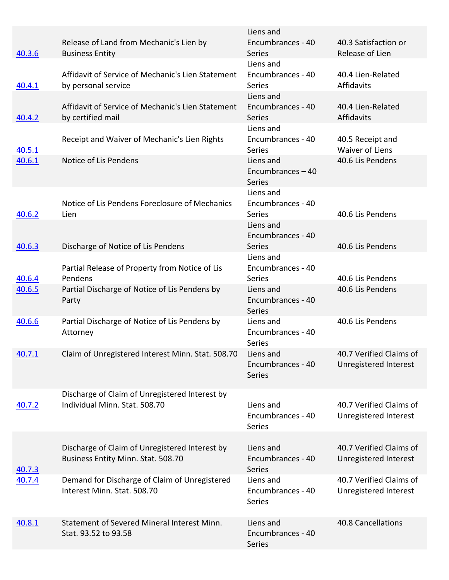|               |                                                                                      | Liens and                                        |                                                  |
|---------------|--------------------------------------------------------------------------------------|--------------------------------------------------|--------------------------------------------------|
| 40.3.6        | Release of Land from Mechanic's Lien by<br><b>Business Entity</b>                    | Encumbrances - 40<br><b>Series</b>               | 40.3 Satisfaction or<br>Release of Lien          |
|               |                                                                                      | Liens and                                        |                                                  |
| 40.4.1        | Affidavit of Service of Mechanic's Lien Statement<br>by personal service             | Encumbrances - 40<br><b>Series</b>               | 40.4 Lien-Related<br>Affidavits                  |
|               |                                                                                      | Liens and                                        |                                                  |
| 40.4.2        | Affidavit of Service of Mechanic's Lien Statement<br>by certified mail               | Encumbrances - 40<br><b>Series</b>               | 40.4 Lien-Related<br>Affidavits                  |
| 40.5.1        | Receipt and Waiver of Mechanic's Lien Rights                                         | Liens and<br>Encumbrances - 40<br>Series         | 40.5 Receipt and<br><b>Waiver of Liens</b>       |
| 40.6.1        | Notice of Lis Pendens                                                                | Liens and<br>Encumbrances $-40$<br><b>Series</b> | 40.6 Lis Pendens                                 |
| 40.6.2        | Notice of Lis Pendens Foreclosure of Mechanics<br>Lien                               | Liens and<br>Encumbrances - 40<br><b>Series</b>  | 40.6 Lis Pendens                                 |
|               | Discharge of Notice of Lis Pendens                                                   | Liens and<br>Encumbrances - 40<br>Series         | 40.6 Lis Pendens                                 |
| 40.6.3        |                                                                                      | Liens and                                        |                                                  |
| 40.6.4        | Partial Release of Property from Notice of Lis<br>Pendens                            | Encumbrances - 40<br>Series                      | 40.6 Lis Pendens                                 |
| 40.6.5        | Partial Discharge of Notice of Lis Pendens by<br>Party                               | Liens and<br>Encumbrances - 40<br>Series         | 40.6 Lis Pendens                                 |
| 40.6.6        | Partial Discharge of Notice of Lis Pendens by<br>Attorney                            | Liens and<br>Encumbrances - 40<br>Series         | 40.6 Lis Pendens                                 |
| 40.7.1        | Claim of Unregistered Interest Minn. Stat. 508.70                                    | Liens and<br>Encumbrances - 40<br>Series         | 40.7 Verified Claims of<br>Unregistered Interest |
| 40.7.2        | Discharge of Claim of Unregistered Interest by<br>Individual Minn. Stat. 508.70      | Liens and<br>Encumbrances - 40<br>Series         | 40.7 Verified Claims of<br>Unregistered Interest |
| <u>40.7.3</u> | Discharge of Claim of Unregistered Interest by<br>Business Entity Minn. Stat. 508.70 | Liens and<br>Encumbrances - 40<br>Series         | 40.7 Verified Claims of<br>Unregistered Interest |
| 40.7.4        | Demand for Discharge of Claim of Unregistered<br>Interest Minn. Stat. 508.70         | Liens and<br>Encumbrances - 40<br>Series         | 40.7 Verified Claims of<br>Unregistered Interest |
| 40.8.1        | Statement of Severed Mineral Interest Minn.<br>Stat. 93.52 to 93.58                  | Liens and<br>Encumbrances - 40<br>Series         | 40.8 Cancellations                               |
|               |                                                                                      |                                                  |                                                  |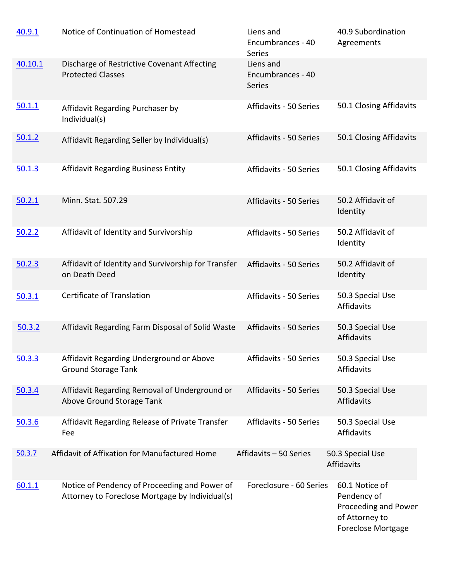| 40.9.1  | Notice of Continuation of Homestead                                                              | Liens and<br>Encumbrances - 40<br>Series        | 40.9 Subordination<br>Agreements                                                                     |
|---------|--------------------------------------------------------------------------------------------------|-------------------------------------------------|------------------------------------------------------------------------------------------------------|
| 40.10.1 | Discharge of Restrictive Covenant Affecting<br><b>Protected Classes</b>                          | Liens and<br>Encumbrances - 40<br><b>Series</b> |                                                                                                      |
| 50.1.1  | Affidavit Regarding Purchaser by<br>Individual(s)                                                | Affidavits - 50 Series                          | 50.1 Closing Affidavits                                                                              |
| 50.1.2  | Affidavit Regarding Seller by Individual(s)                                                      | Affidavits - 50 Series                          | 50.1 Closing Affidavits                                                                              |
| 50.1.3  | <b>Affidavit Regarding Business Entity</b>                                                       | Affidavits - 50 Series                          | 50.1 Closing Affidavits                                                                              |
| 50.2.1  | Minn. Stat. 507.29                                                                               | Affidavits - 50 Series                          | 50.2 Affidavit of<br>Identity                                                                        |
| 50.2.2  | Affidavit of Identity and Survivorship                                                           | Affidavits - 50 Series                          | 50.2 Affidavit of<br>Identity                                                                        |
| 50.2.3  | Affidavit of Identity and Survivorship for Transfer<br>on Death Deed                             | Affidavits - 50 Series                          | 50.2 Affidavit of<br>Identity                                                                        |
| 50.3.1  | Certificate of Translation                                                                       | Affidavits - 50 Series                          | 50.3 Special Use<br>Affidavits                                                                       |
| 50.3.2  | Affidavit Regarding Farm Disposal of Solid Waste                                                 | Affidavits - 50 Series                          | 50.3 Special Use<br>Affidavits                                                                       |
| 50.3.3  | Affidavit Regarding Underground or Above<br><b>Ground Storage Tank</b>                           | Affidavits - 50 Series                          | 50.3 Special Use<br>Affidavits                                                                       |
| 50.3.4  | Affidavit Regarding Removal of Underground or<br>Above Ground Storage Tank                       | Affidavits - 50 Series                          | 50.3 Special Use<br>Affidavits                                                                       |
| 50.3.6  | Affidavit Regarding Release of Private Transfer<br>Fee                                           | Affidavits - 50 Series                          | 50.3 Special Use<br>Affidavits                                                                       |
| 50.3.7  | Affidavit of Affixation for Manufactured Home                                                    | Affidavits - 50 Series                          | 50.3 Special Use<br>Affidavits                                                                       |
| 60.1.1  | Notice of Pendency of Proceeding and Power of<br>Attorney to Foreclose Mortgage by Individual(s) | Foreclosure - 60 Series                         | 60.1 Notice of<br>Pendency of<br>Proceeding and Power<br>of Attorney to<br><b>Foreclose Mortgage</b> |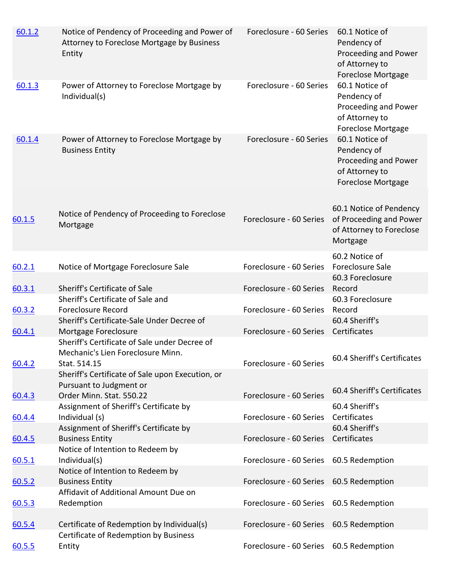| 60.1.2 | Notice of Pendency of Proceeding and Power of<br>Attorney to Foreclose Mortgage by Business<br>Entity | Foreclosure - 60 Series                 | 60.1 Notice of<br>Pendency of<br>Proceeding and Power<br>of Attorney to<br><b>Foreclose Mortgage</b> |
|--------|-------------------------------------------------------------------------------------------------------|-----------------------------------------|------------------------------------------------------------------------------------------------------|
| 60.1.3 | Power of Attorney to Foreclose Mortgage by<br>Individual(s)                                           | Foreclosure - 60 Series                 | 60.1 Notice of<br>Pendency of<br>Proceeding and Power<br>of Attorney to<br><b>Foreclose Mortgage</b> |
| 60.1.4 | Power of Attorney to Foreclose Mortgage by<br><b>Business Entity</b>                                  | Foreclosure - 60 Series                 | 60.1 Notice of<br>Pendency of<br>Proceeding and Power<br>of Attorney to<br><b>Foreclose Mortgage</b> |
| 60.1.5 | Notice of Pendency of Proceeding to Foreclose<br>Mortgage                                             | Foreclosure - 60 Series                 | 60.1 Notice of Pendency<br>of Proceeding and Power<br>of Attorney to Foreclose<br>Mortgage           |
| 60.2.1 | Notice of Mortgage Foreclosure Sale                                                                   | Foreclosure - 60 Series                 | 60.2 Notice of<br>Foreclosure Sale                                                                   |
| 60.3.1 | Sheriff's Certificate of Sale                                                                         | Foreclosure - 60 Series                 | 60.3 Foreclosure<br>Record                                                                           |
| 60.3.2 | Sheriff's Certificate of Sale and<br><b>Foreclosure Record</b>                                        | Foreclosure - 60 Series                 | 60.3 Foreclosure<br>Record                                                                           |
| 60.4.1 | Sheriff's Certificate-Sale Under Decree of<br>Mortgage Foreclosure                                    | Foreclosure - 60 Series                 | 60.4 Sheriff's<br>Certificates                                                                       |
| 60.4.2 | Sheriff's Certificate of Sale under Decree of<br>Mechanic's Lien Foreclosure Minn.<br>Stat. 514.15    | Foreclosure - 60 Series                 | 60.4 Sheriff's Certificates                                                                          |
|        | Sheriff's Certificate of Sale upon Execution, or<br>Pursuant to Judgment or                           |                                         | 60.4 Sheriff's Certificates                                                                          |
| 60.4.3 | Order Minn. Stat. 550.22                                                                              | Foreclosure - 60 Series                 |                                                                                                      |
| 60.4.4 | Assignment of Sheriff's Certificate by<br>Individual (s)                                              | Foreclosure - 60 Series                 | 60.4 Sheriff's<br>Certificates                                                                       |
|        | Assignment of Sheriff's Certificate by                                                                |                                         | 60.4 Sheriff's                                                                                       |
| 60.4.5 | <b>Business Entity</b>                                                                                | Foreclosure - 60 Series                 | Certificates                                                                                         |
|        | Notice of Intention to Redeem by                                                                      |                                         |                                                                                                      |
| 60.5.1 | Individual(s)<br>Notice of Intention to Redeem by                                                     | Foreclosure - 60 Series 60.5 Redemption |                                                                                                      |
| 60.5.2 | <b>Business Entity</b>                                                                                | Foreclosure - 60 Series                 | 60.5 Redemption                                                                                      |
|        | Affidavit of Additional Amount Due on                                                                 |                                         |                                                                                                      |
| 60.5.3 | Redemption                                                                                            | Foreclosure - 60 Series 60.5 Redemption |                                                                                                      |
| 60.5.4 | Certificate of Redemption by Individual(s)                                                            | Foreclosure - 60 Series 60.5 Redemption |                                                                                                      |
|        | Certificate of Redemption by Business                                                                 |                                         |                                                                                                      |
| 60.5.5 | Entity                                                                                                | Foreclosure - 60 Series 60.5 Redemption |                                                                                                      |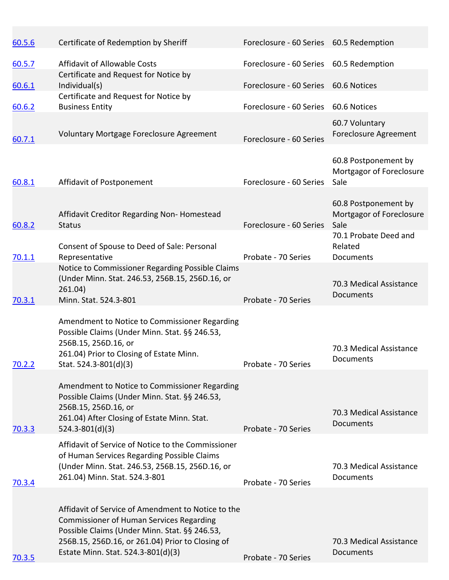| 60.5.6        | Certificate of Redemption by Sheriff                                                                                                                                                                                                             | Foreclosure - 60 Series 60.5 Redemption |                                                          |
|---------------|--------------------------------------------------------------------------------------------------------------------------------------------------------------------------------------------------------------------------------------------------|-----------------------------------------|----------------------------------------------------------|
| 60.5.7        | Affidavit of Allowable Costs<br>Certificate and Request for Notice by                                                                                                                                                                            | Foreclosure - 60 Series 60.5 Redemption |                                                          |
| 60.6.1        | Individual(s)                                                                                                                                                                                                                                    | Foreclosure - 60 Series 60.6 Notices    |                                                          |
| 60.6.2        | Certificate and Request for Notice by<br><b>Business Entity</b>                                                                                                                                                                                  | Foreclosure - 60 Series 60.6 Notices    |                                                          |
| 60.7.1        | Voluntary Mortgage Foreclosure Agreement                                                                                                                                                                                                         | Foreclosure - 60 Series                 | 60.7 Voluntary<br><b>Foreclosure Agreement</b>           |
| 60.8.1        | Affidavit of Postponement                                                                                                                                                                                                                        | Foreclosure - 60 Series                 | 60.8 Postponement by<br>Mortgagor of Foreclosure<br>Sale |
| 60.8.2        | Affidavit Creditor Regarding Non-Homestead<br><b>Status</b>                                                                                                                                                                                      | Foreclosure - 60 Series                 | 60.8 Postponement by<br>Mortgagor of Foreclosure<br>Sale |
| 70.1.1        | Consent of Spouse to Deed of Sale: Personal<br>Representative                                                                                                                                                                                    | Probate - 70 Series                     | 70.1 Probate Deed and<br>Related<br>Documents            |
| 70.3.1        | Notice to Commissioner Regarding Possible Claims<br>(Under Minn. Stat. 246.53, 256B.15, 256D.16, or<br>261.04)<br>Minn. Stat. 524.3-801                                                                                                          | Probate - 70 Series                     | 70.3 Medical Assistance<br>Documents                     |
| 70.2.2        | Amendment to Notice to Commissioner Regarding<br>Possible Claims (Under Minn. Stat. §§ 246.53,<br>256B.15, 256D.16, or<br>261.04) Prior to Closing of Estate Minn.<br>Stat. 524.3-801(d)(3)                                                      | Probate - 70 Series                     | 70.3 Medical Assistance<br><b>Documents</b>              |
| <u>70.3.3</u> | Amendment to Notice to Commissioner Regarding<br>Possible Claims (Under Minn. Stat. §§ 246.53,<br>256B.15, 256D.16, or<br>261.04) After Closing of Estate Minn. Stat.<br>$524.3 - 801(d)(3)$                                                     | Probate - 70 Series                     | 70.3 Medical Assistance<br>Documents                     |
| 70.3.4        | Affidavit of Service of Notice to the Commissioner<br>of Human Services Regarding Possible Claims<br>(Under Minn. Stat. 246.53, 256B.15, 256D.16, or<br>261.04) Minn. Stat. 524.3-801                                                            | Probate - 70 Series                     | 70.3 Medical Assistance<br>Documents                     |
| 70.3.5        | Affidavit of Service of Amendment to Notice to the<br><b>Commissioner of Human Services Regarding</b><br>Possible Claims (Under Minn. Stat. §§ 246.53,<br>256B.15, 256D.16, or 261.04) Prior to Closing of<br>Estate Minn. Stat. 524.3-801(d)(3) | Probate - 70 Series                     | 70.3 Medical Assistance<br>Documents                     |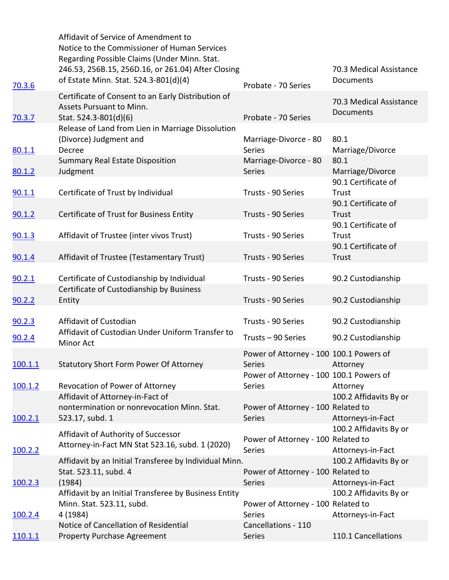|               | Affidavit of Service of Amendment to<br>Notice to the Commissioner of Human Services<br>Regarding Possible Claims (Under Minn. Stat. |                                                               |                                             |
|---------------|--------------------------------------------------------------------------------------------------------------------------------------|---------------------------------------------------------------|---------------------------------------------|
| 70.3.6        | 246.53, 256B.15, 256D.16, or 261.04) After Closing<br>of Estate Minn. Stat. 524.3-801(d)(4)                                          | Probate - 70 Series                                           | 70.3 Medical Assistance<br>Documents        |
| <u>70.3.7</u> | Certificate of Consent to an Early Distribution of<br>Assets Pursuant to Minn.<br>Stat. 524.3-801(d)(6)                              | Probate - 70 Series                                           | 70.3 Medical Assistance<br>Documents        |
| 80.1.1        | Release of Land from Lien in Marriage Dissolution<br>(Divorce) Judgment and<br>Decree                                                | Marriage-Divorce - 80<br><b>Series</b>                        | 80.1<br>Marriage/Divorce                    |
| 80.1.2        | <b>Summary Real Estate Disposition</b><br>Judgment                                                                                   | Marriage-Divorce - 80<br>Series                               | 80.1<br>Marriage/Divorce                    |
| 90.1.1        | Certificate of Trust by Individual                                                                                                   | Trusts - 90 Series                                            | 90.1 Certificate of<br>Trust                |
| 90.1.2        | Certificate of Trust for Business Entity                                                                                             | Trusts - 90 Series                                            | 90.1 Certificate of<br>Trust                |
| 90.1.3        | Affidavit of Trustee (inter vivos Trust)                                                                                             | Trusts - 90 Series                                            | 90.1 Certificate of<br>Trust                |
| <u>90.1.4</u> | Affidavit of Trustee (Testamentary Trust)                                                                                            | Trusts - 90 Series                                            | 90.1 Certificate of<br>Trust                |
| 90.2.1        | Certificate of Custodianship by Individual                                                                                           | Trusts - 90 Series                                            | 90.2 Custodianship                          |
| <u>90.2.2</u> | Certificate of Custodianship by Business<br>Entity                                                                                   | Trusts - 90 Series                                            | 90.2 Custodianship                          |
| 90.2.3        | Affidavit of Custodian<br>Affidavit of Custodian Under Uniform Transfer to                                                           | Trusts - 90 Series                                            | 90.2 Custodianship                          |
| 90.2.4        | Minor Act                                                                                                                            | Trusts - 90 Series<br>Power of Attorney - 100 100.1 Powers of | 90.2 Custodianship                          |
| 100.1.1       | <b>Statutory Short Form Power Of Attorney</b>                                                                                        | <b>Series</b>                                                 | Attorney                                    |
| 100.1.2       | Revocation of Power of Attorney                                                                                                      | Power of Attorney - 100 100.1 Powers of<br>Series             | Attorney                                    |
| 100.2.1       | Affidavit of Attorney-in-Fact of<br>nontermination or nonrevocation Minn. Stat.<br>523.17, subd. 1                                   | Power of Attorney - 100 Related to<br>Series                  | 100.2 Affidavits By or<br>Attorneys-in-Fact |
| 100.2.2       | Affidavit of Authority of Successor<br>Attorney-in-Fact MN Stat 523.16, subd. 1 (2020)                                               | Power of Attorney - 100 Related to<br>Series                  | 100.2 Affidavits By or<br>Attorneys-in-Fact |
| 100.2.3       | Affidavit by an Initial Transferee by Individual Minn.<br>Stat. 523.11, subd. 4<br>(1984)                                            | Power of Attorney - 100 Related to<br>Series                  | 100.2 Affidavits By or<br>Attorneys-in-Fact |
| 100.2.4       | Affidavit by an Initial Transferee by Business Entity<br>Minn. Stat. 523.11, subd.<br>4 (1984)                                       | Power of Attorney - 100 Related to<br><b>Series</b>           | 100.2 Affidavits By or<br>Attorneys-in-Fact |
|               | Notice of Cancellation of Residential                                                                                                | Cancellations - 110                                           |                                             |
| 110.1.1       | <b>Property Purchase Agreement</b>                                                                                                   | Series                                                        | 110.1 Cancellations                         |